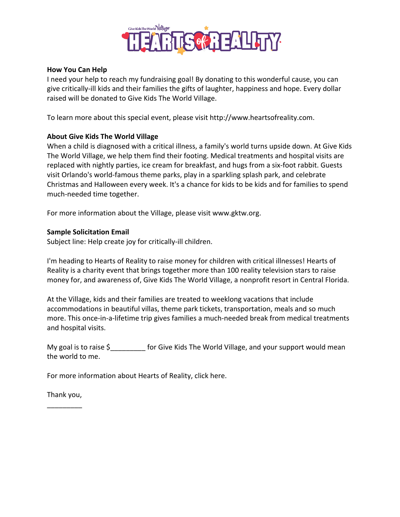

## **How You Can Help**

I need your help to reach my fundraising goal! By donating to this wonderful cause, you can give critically-ill kids and their families the gifts of laughter, happiness and hope. Every dollar raised will be donated to Give Kids The World Village.

To learn more about this special event, please visit http://www.heartsofreality.com.

## **About Give Kids The World Village**

When a child is diagnosed with a critical illness, a family's world turns upside down. At Give Kids The World Village, we help them find their footing. Medical treatments and hospital visits are replaced with nightly parties, ice cream for breakfast, and hugs from a six-foot rabbit. Guests visit Orlando's world-famous theme parks, play in a sparkling splash park, and celebrate Christmas and Halloween every week. It's a chance for kids to be kids and for families to spend much-needed time together.

For more information about the Village, please visit www.gktw.org.

## **Sample Solicitation Email**

Subject line: Help create joy for critically-ill children.

I'm heading to Hearts of Reality to raise money for children with critical illnesses! Hearts of Reality is a charity event that brings together more than 100 reality television stars to raise money for, and awareness of, Give Kids The World Village, a nonprofit resort in Central Florida.

At the Village, kids and their families are treated to weeklong vacations that include accommodations in beautiful villas, theme park tickets, transportation, meals and so much more. This once-in-a-lifetime trip gives families a much-needed break from medical treatments and hospital visits.

My goal is to raise \$ for Give Kids The World Village, and your support would mean the world to me.

For more information about Hearts of Reality, click here.

Thank you, \_\_\_\_\_\_\_\_\_